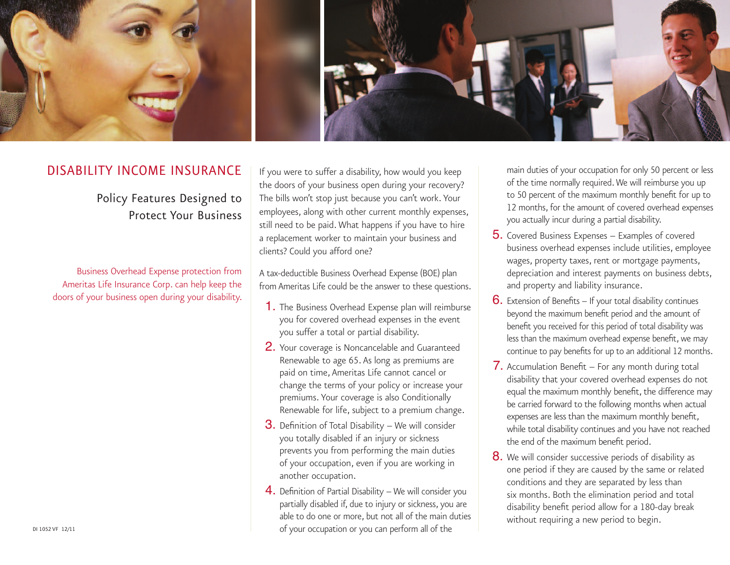

## Disability Income Insurance

Policy Features Designed to Protect Your Business

Business Overhead Expense protection from Ameritas Life Insurance Corp. can help keep the doors of your business open during your disability.

If you were to suffer a disability, how would you keep the doors of your business open during your recovery? The bills won't stop just because you can't work. Your employees, along with other current monthly expenses, still need to be paid. What happens if you have to hire a replacement worker to maintain your business and clients? Could you afford one?

A tax-deductible Business Overhead Expense (BOE) plan from Ameritas Life could be the answer to these questions.

- 1. The Business Overhead Expense plan will reimburse you for covered overhead expenses in the event you suffer a total or partial disability.
- 2. Your coverage is Noncancelable and Guaranteed Renewable to age 65. As long as premiums are paid on time, Ameritas Life cannot cancel or change the terms of your policy or increase your premiums. Your coverage is also Conditionally Renewable for life, subject to a premium change.
- 3. Definition of Total Disability We will consider you totally disabled if an injury or sickness prevents you from performing the main duties of your occupation, even if you are working in another occupation.
- 4. Definition of Partial Disability We will consider you partially disabled if, due to injury or sickness, you are able to do one or more, but not all of the main duties of your occupation or you can perform all of the

main duties of your occupation for only 50 percent or less of the time normally required. We will reimburse you up to 50 percent of the maximum monthly benefit for up to 12 months, for the amount of covered overhead expenses you actually incur during a partial disability.

- 5. Covered Business Expenses Examples of covered business overhead expenses include utilities, employee wages, property taxes, rent or mortgage payments, depreciation and interest payments on business debts, and property and liability insurance.
- 6. Extension of Benefits If your total disability continues beyond the maximum benefit period and the amount of benefit you received for this period of total disability was less than the maximum overhead expense benefit, we may continue to pay benefits for up to an additional 12 months.
- 7. Accumulation Benefit For any month during total disability that your covered overhead expenses do not equal the maximum monthly benefit, the difference may be carried forward to the following months when actual expenses are less than the maximum monthly benefit, while total disability continues and you have not reached the end of the maximum benefit period.
- **8.** We will consider successive periods of disability as one period if they are caused by the same or related conditions and they are separated by less than six months. Both the elimination period and total disability benefit period allow for a 180-day break without requiring a new period to begin.